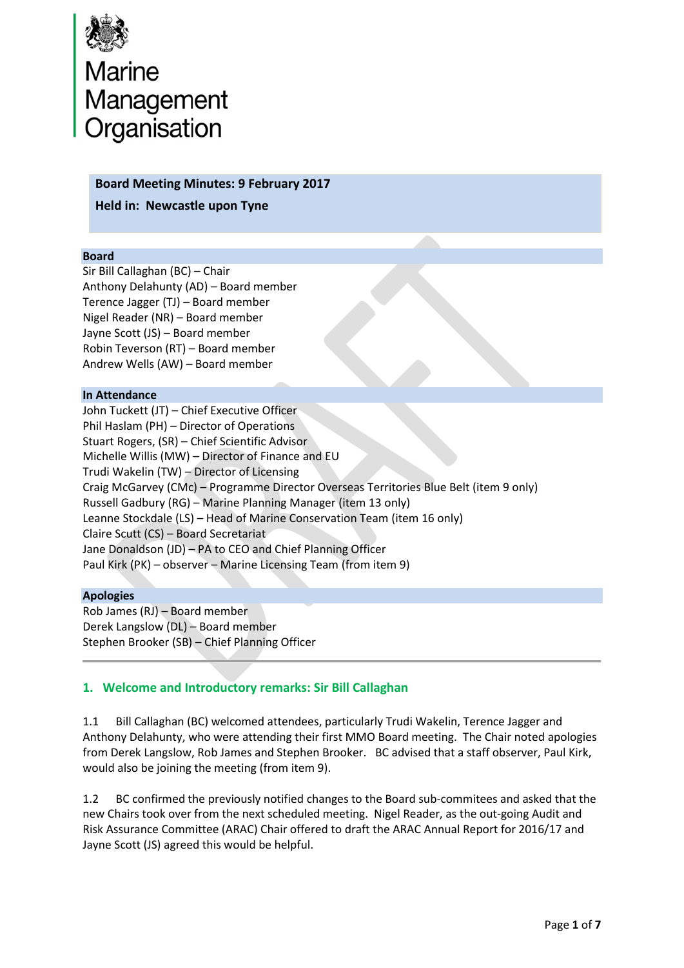

# Marine<br>Management<br>Organisation

#### **Board Meeting Minutes: 9 February 2017**

**Held in: Newcastle upon Tyne**

#### **Board**

Sir Bill Callaghan (BC) – Chair Anthony Delahunty (AD) – Board member Terence Jagger (TJ) – Board member Nigel Reader (NR) – Board member Jayne Scott (JS) – Board member Robin Teverson (RT) – Board member Andrew Wells (AW) – Board member

#### **In Attendance**

John Tuckett (JT) – Chief Executive Officer Phil Haslam (PH) – Director of Operations Stuart Rogers, (SR) – Chief Scientific Advisor Michelle Willis (MW) – Director of Finance and EU Trudi Wakelin (TW) – Director of Licensing Craig McGarvey (CMc) – Programme Director Overseas Territories Blue Belt (item 9 only) Russell Gadbury (RG) – Marine Planning Manager (item 13 only) Leanne Stockdale (LS) – Head of Marine Conservation Team (item 16 only) Claire Scutt (CS) – Board Secretariat Jane Donaldson (JD) – PA to CEO and Chief Planning Officer Paul Kirk (PK) – observer – Marine Licensing Team (from item 9)

#### **Apologies**

Rob James (RJ) – Board member Derek Langslow (DL) – Board member Stephen Brooker (SB) – Chief Planning Officer

## **1. Welcome and Introductory remarks: Sir Bill Callaghan**

1.1 Bill Callaghan (BC) welcomed attendees, particularly Trudi Wakelin, Terence Jagger and Anthony Delahunty, who were attending their first MMO Board meeting. The Chair noted apologies from Derek Langslow, Rob James and Stephen Brooker. BC advised that a staff observer, Paul Kirk, would also be joining the meeting (from item 9).

1.2 BC confirmed the previously notified changes to the Board sub-commitees and asked that the new Chairs took over from the next scheduled meeting. Nigel Reader, as the out-going Audit and Risk Assurance Committee (ARAC) Chair offered to draft the ARAC Annual Report for 2016/17 and Jayne Scott (JS) agreed this would be helpful.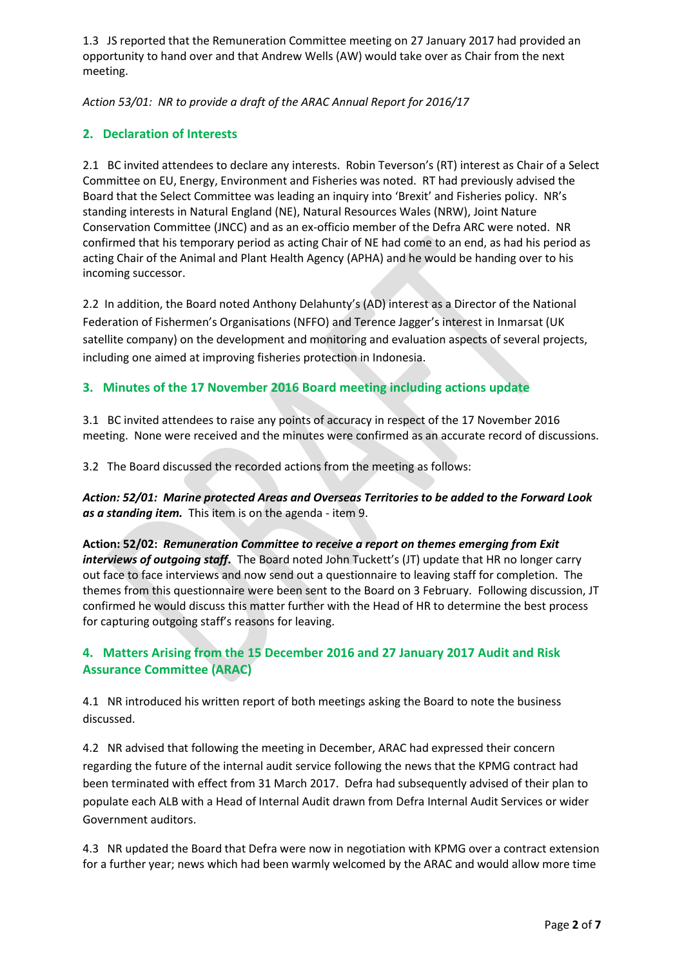1.3 JS reported that the Remuneration Committee meeting on 27 January 2017 had provided an opportunity to hand over and that Andrew Wells (AW) would take over as Chair from the next meeting.

*Action 53/01: NR to provide a draft of the ARAC Annual Report for 2016/17* 

# **2. Declaration of Interests**

2.1 BC invited attendees to declare any interests. Robin Teverson's (RT) interest as Chair of a Select Committee on EU, Energy, Environment and Fisheries was noted. RT had previously advised the Board that the Select Committee was leading an inquiry into 'Brexit' and Fisheries policy. NR's standing interests in Natural England (NE), Natural Resources Wales (NRW), Joint Nature Conservation Committee (JNCC) and as an ex-officio member of the Defra ARC were noted. NR confirmed that his temporary period as acting Chair of NE had come to an end, as had his period as acting Chair of the Animal and Plant Health Agency (APHA) and he would be handing over to his incoming successor.

2.2 In addition, the Board noted Anthony Delahunty's (AD) interest as a Director of the National Federation of Fishermen's Organisations (NFFO) and Terence Jagger's interest in Inmarsat (UK satellite company) on the development and monitoring and evaluation aspects of several projects, including one aimed at improving fisheries protection in Indonesia.

# **3. Minutes of the 17 November 2016 Board meeting including actions update**

3.1 BC invited attendees to raise any points of accuracy in respect of the 17 November 2016 meeting. None were received and the minutes were confirmed as an accurate record of discussions.

3.2 The Board discussed the recorded actions from the meeting as follows:

*Action: 52/01: Marine protected Areas and Overseas Territories to be added to the Forward Look as a standing item.* This item is on the agenda - item 9.

**Action: 52/02:** *Remuneration Committee to receive a report on themes emerging from Exit interviews of outgoing staff***.** The Board noted John Tuckett's (JT) update that HR no longer carry out face to face interviews and now send out a questionnaire to leaving staff for completion. The themes from this questionnaire were been sent to the Board on 3 February. Following discussion, JT confirmed he would discuss this matter further with the Head of HR to determine the best process for capturing outgoing staff's reasons for leaving.

# **4. Matters Arising from the 15 December 2016 and 27 January 2017 Audit and Risk Assurance Committee (ARAC)**

4.1 NR introduced his written report of both meetings asking the Board to note the business discussed.

4.2 NR advised that following the meeting in December, ARAC had expressed their concern regarding the future of the internal audit service following the news that the KPMG contract had been terminated with effect from 31 March 2017. Defra had subsequently advised of their plan to populate each ALB with a Head of Internal Audit drawn from Defra Internal Audit Services or wider Government auditors.

4.3 NR updated the Board that Defra were now in negotiation with KPMG over a contract extension for a further year; news which had been warmly welcomed by the ARAC and would allow more time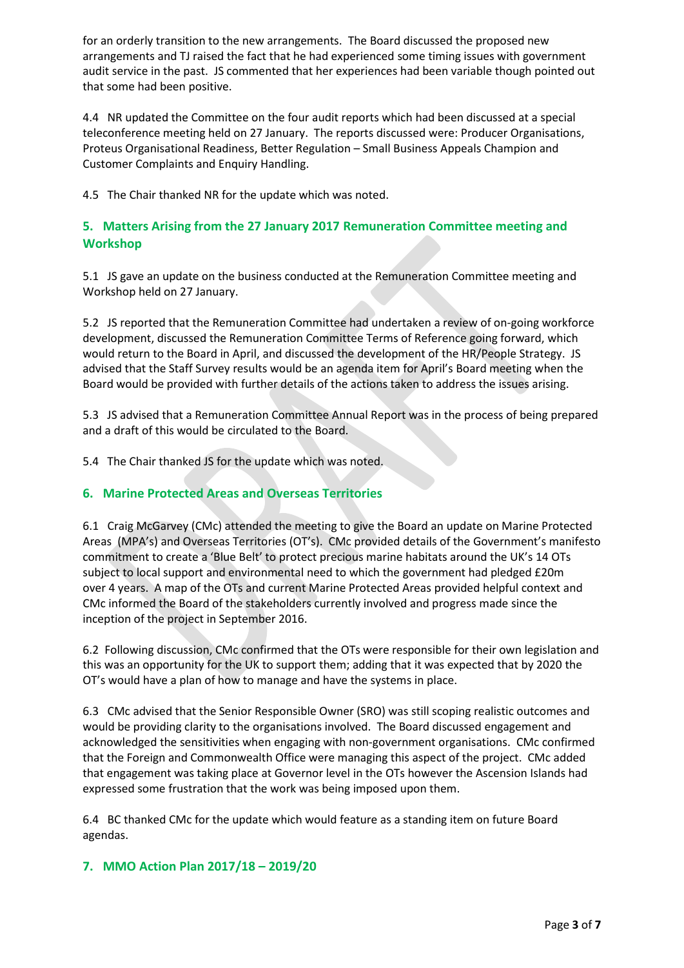for an orderly transition to the new arrangements. The Board discussed the proposed new arrangements and TJ raised the fact that he had experienced some timing issues with government audit service in the past. JS commented that her experiences had been variable though pointed out that some had been positive.

4.4 NR updated the Committee on the four audit reports which had been discussed at a special teleconference meeting held on 27 January. The reports discussed were: Producer Organisations, Proteus Organisational Readiness, Better Regulation – Small Business Appeals Champion and Customer Complaints and Enquiry Handling.

4.5 The Chair thanked NR for the update which was noted.

## **5. Matters Arising from the 27 January 2017 Remuneration Committee meeting and Workshop**

5.1 JS gave an update on the business conducted at the Remuneration Committee meeting and Workshop held on 27 January.

5.2 JS reported that the Remuneration Committee had undertaken a review of on-going workforce development, discussed the Remuneration Committee Terms of Reference going forward, which would return to the Board in April, and discussed the development of the HR/People Strategy. JS advised that the Staff Survey results would be an agenda item for April's Board meeting when the Board would be provided with further details of the actions taken to address the issues arising.

5.3 JS advised that a Remuneration Committee Annual Report was in the process of being prepared and a draft of this would be circulated to the Board.

5.4 The Chair thanked JS for the update which was noted.

# **6. Marine Protected Areas and Overseas Territories**

6.1 Craig McGarvey (CMc) attended the meeting to give the Board an update on Marine Protected Areas (MPA's) and Overseas Territories (OT's). CMc provided details of the Government's manifesto commitment to create a 'Blue Belt' to protect precious marine habitats around the UK's 14 OTs subject to local support and environmental need to which the government had pledged £20m over 4 years. A map of the OTs and current Marine Protected Areas provided helpful context and CMc informed the Board of the stakeholders currently involved and progress made since the inception of the project in September 2016.

6.2 Following discussion, CMc confirmed that the OTs were responsible for their own legislation and this was an opportunity for the UK to support them; adding that it was expected that by 2020 the OT's would have a plan of how to manage and have the systems in place.

6.3 CMc advised that the Senior Responsible Owner (SRO) was still scoping realistic outcomes and would be providing clarity to the organisations involved. The Board discussed engagement and acknowledged the sensitivities when engaging with non-government organisations. CMc confirmed that the Foreign and Commonwealth Office were managing this aspect of the project. CMc added that engagement was taking place at Governor level in the OTs however the Ascension Islands had expressed some frustration that the work was being imposed upon them.

6.4 BC thanked CMc for the update which would feature as a standing item on future Board agendas.

## **7. MMO Action Plan 2017/18 – 2019/20**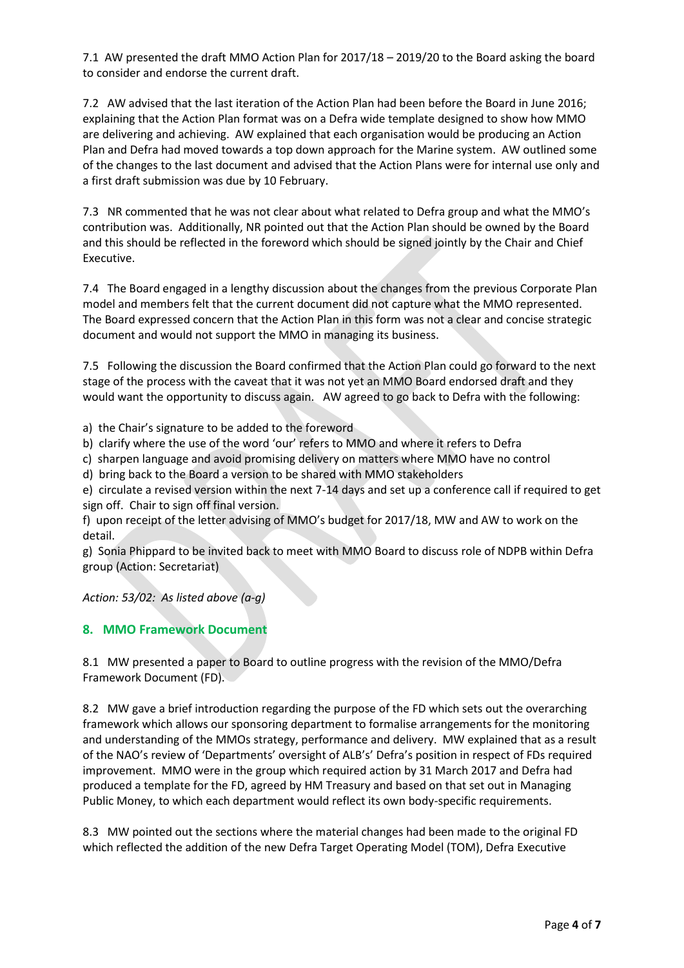7.1 AW presented the draft MMO Action Plan for 2017/18 – 2019/20 to the Board asking the board to consider and endorse the current draft.

7.2 AW advised that the last iteration of the Action Plan had been before the Board in June 2016; explaining that the Action Plan format was on a Defra wide template designed to show how MMO are delivering and achieving. AW explained that each organisation would be producing an Action Plan and Defra had moved towards a top down approach for the Marine system. AW outlined some of the changes to the last document and advised that the Action Plans were for internal use only and a first draft submission was due by 10 February.

7.3 NR commented that he was not clear about what related to Defra group and what the MMO's contribution was. Additionally, NR pointed out that the Action Plan should be owned by the Board and this should be reflected in the foreword which should be signed jointly by the Chair and Chief Executive.

7.4 The Board engaged in a lengthy discussion about the changes from the previous Corporate Plan model and members felt that the current document did not capture what the MMO represented. The Board expressed concern that the Action Plan in this form was not a clear and concise strategic document and would not support the MMO in managing its business.

7.5 Following the discussion the Board confirmed that the Action Plan could go forward to the next stage of the process with the caveat that it was not yet an MMO Board endorsed draft and they would want the opportunity to discuss again. AW agreed to go back to Defra with the following:

a) the Chair's signature to be added to the foreword

b) clarify where the use of the word 'our' refers to MMO and where it refers to Defra

c) sharpen language and avoid promising delivery on matters where MMO have no control

d) bring back to the Board a version to be shared with MMO stakeholders

e) circulate a revised version within the next 7-14 days and set up a conference call if required to get sign off. Chair to sign off final version.

f) upon receipt of the letter advising of MMO's budget for 2017/18, MW and AW to work on the detail.

g) Sonia Phippard to be invited back to meet with MMO Board to discuss role of NDPB within Defra group (Action: Secretariat)

*Action: 53/02: As listed above (a-g)*

## **8. MMO Framework Document**

8.1 MW presented a paper to Board to outline progress with the revision of the MMO/Defra Framework Document (FD).

8.2 MW gave a brief introduction regarding the purpose of the FD which sets out the overarching framework which allows our sponsoring department to formalise arrangements for the monitoring and understanding of the MMOs strategy, performance and delivery. MW explained that as a result of the NAO's review of 'Departments' oversight of ALB's' Defra's position in respect of FDs required improvement. MMO were in the group which required action by 31 March 2017 and Defra had produced a template for the FD, agreed by HM Treasury and based on that set out in Managing Public Money, to which each department would reflect its own body-specific requirements.

8.3 MW pointed out the sections where the material changes had been made to the original FD which reflected the addition of the new Defra Target Operating Model (TOM), Defra Executive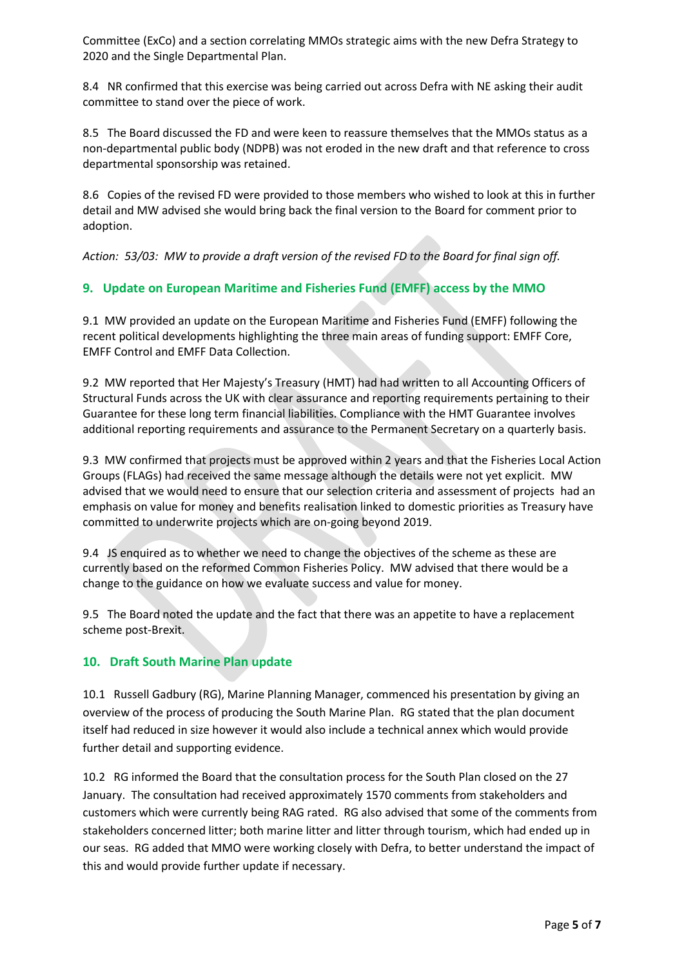Committee (ExCo) and a section correlating MMOs strategic aims with the new Defra Strategy to 2020 and the Single Departmental Plan.

8.4 NR confirmed that this exercise was being carried out across Defra with NE asking their audit committee to stand over the piece of work.

8.5 The Board discussed the FD and were keen to reassure themselves that the MMOs status as a non-departmental public body (NDPB) was not eroded in the new draft and that reference to cross departmental sponsorship was retained.

8.6 Copies of the revised FD were provided to those members who wished to look at this in further detail and MW advised she would bring back the final version to the Board for comment prior to adoption.

*Action: 53/03: MW to provide a draft version of the revised FD to the Board for final sign off.*

## **9. Update on European Maritime and Fisheries Fund (EMFF) access by the MMO**

9.1 MW provided an update on the European Maritime and Fisheries Fund (EMFF) following the recent political developments highlighting the three main areas of funding support: EMFF Core, EMFF Control and EMFF Data Collection.

9.2 MW reported that Her Majesty's Treasury (HMT) had had written to all Accounting Officers of Structural Funds across the UK with clear assurance and reporting requirements pertaining to their Guarantee for these long term financial liabilities. Compliance with the HMT Guarantee involves additional reporting requirements and assurance to the Permanent Secretary on a quarterly basis.

9.3 MW confirmed that projects must be approved within 2 years and that the Fisheries Local Action Groups (FLAGs) had received the same message although the details were not yet explicit. MW advised that we would need to ensure that our selection criteria and assessment of projects had an emphasis on value for money and benefits realisation linked to domestic priorities as Treasury have committed to underwrite projects which are on-going beyond 2019.

9.4 JS enquired as to whether we need to change the objectives of the scheme as these are currently based on the reformed Common Fisheries Policy. MW advised that there would be a change to the guidance on how we evaluate success and value for money.

9.5 The Board noted the update and the fact that there was an appetite to have a replacement scheme post-Brexit.

## **10. Draft South Marine Plan update**

10.1 Russell Gadbury (RG), Marine Planning Manager, commenced his presentation by giving an overview of the process of producing the South Marine Plan. RG stated that the plan document itself had reduced in size however it would also include a technical annex which would provide further detail and supporting evidence.

10.2 RG informed the Board that the consultation process for the South Plan closed on the 27 January. The consultation had received approximately 1570 comments from stakeholders and customers which were currently being RAG rated. RG also advised that some of the comments from stakeholders concerned litter; both marine litter and litter through tourism, which had ended up in our seas. RG added that MMO were working closely with Defra, to better understand the impact of this and would provide further update if necessary.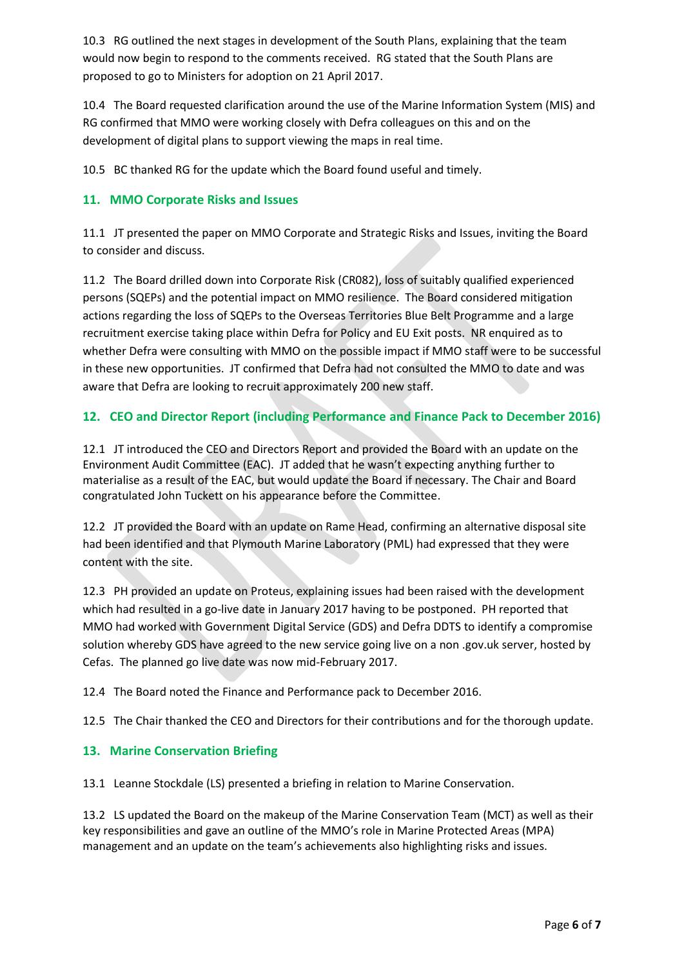10.3 RG outlined the next stages in development of the South Plans, explaining that the team would now begin to respond to the comments received. RG stated that the South Plans are proposed to go to Ministers for adoption on 21 April 2017.

10.4 The Board requested clarification around the use of the Marine Information System (MIS) and RG confirmed that MMO were working closely with Defra colleagues on this and on the development of digital plans to support viewing the maps in real time.

10.5 BC thanked RG for the update which the Board found useful and timely.

## **11. MMO Corporate Risks and Issues**

11.1 JT presented the paper on MMO Corporate and Strategic Risks and Issues, inviting the Board to consider and discuss.

11.2 The Board drilled down into Corporate Risk (CR082), loss of suitably qualified experienced persons (SQEPs) and the potential impact on MMO resilience. The Board considered mitigation actions regarding the loss of SQEPs to the Overseas Territories Blue Belt Programme and a large recruitment exercise taking place within Defra for Policy and EU Exit posts. NR enquired as to whether Defra were consulting with MMO on the possible impact if MMO staff were to be successful in these new opportunities. JT confirmed that Defra had not consulted the MMO to date and was aware that Defra are looking to recruit approximately 200 new staff.

# **12. CEO and Director Report (including Performance and Finance Pack to December 2016)**

12.1 JT introduced the CEO and Directors Report and provided the Board with an update on the Environment Audit Committee (EAC). JT added that he wasn't expecting anything further to materialise as a result of the EAC, but would update the Board if necessary. The Chair and Board congratulated John Tuckett on his appearance before the Committee.

12.2 JT provided the Board with an update on Rame Head, confirming an alternative disposal site had been identified and that Plymouth Marine Laboratory (PML) had expressed that they were content with the site.

12.3 PH provided an update on Proteus, explaining issues had been raised with the development which had resulted in a go-live date in January 2017 having to be postponed. PH reported that MMO had worked with Government Digital Service (GDS) and Defra DDTS to identify a compromise solution whereby GDS have agreed to the new service going live on a non .gov.uk server, hosted by Cefas. The planned go live date was now mid-February 2017.

12.4 The Board noted the Finance and Performance pack to December 2016.

12.5 The Chair thanked the CEO and Directors for their contributions and for the thorough update.

## **13. Marine Conservation Briefing**

13.1 Leanne Stockdale (LS) presented a briefing in relation to Marine Conservation.

13.2 LS updated the Board on the makeup of the Marine Conservation Team (MCT) as well as their key responsibilities and gave an outline of the MMO's role in Marine Protected Areas (MPA) management and an update on the team's achievements also highlighting risks and issues.